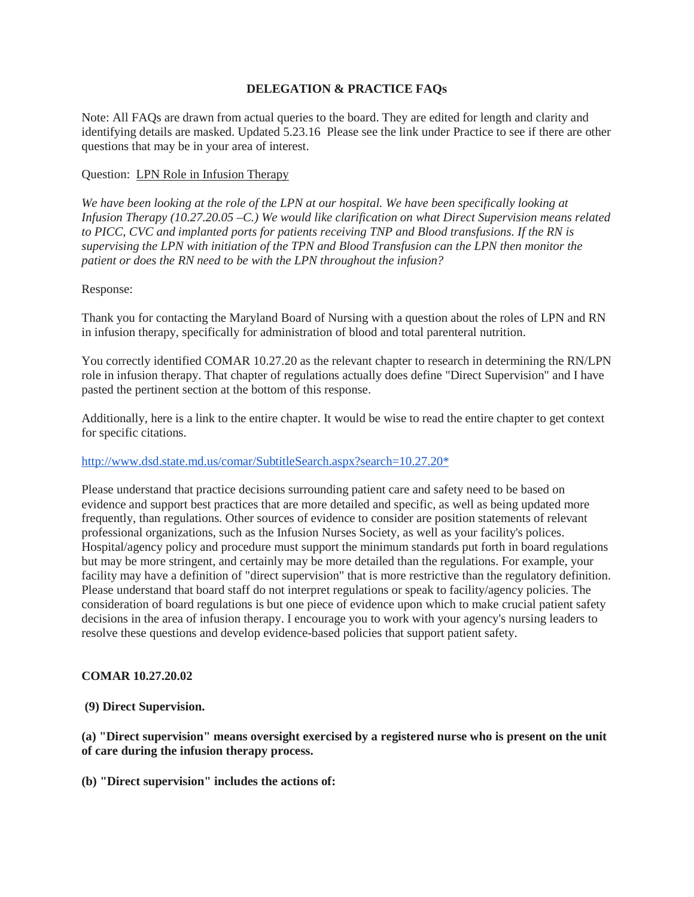### **DELEGATION & PRACTICE FAQs**

Note: All FAQs are drawn from actual queries to the board. They are edited for length and clarity and identifying details are masked. Updated 5.23.16 Please see the link under Practice to see if there are other questions that may be in your area of interest.

# Question: LPN Role in Infusion Therapy

*We have been looking at the role of the LPN at our hospital. We have been specifically looking at Infusion Therapy (10.27.20.05 –C.) We would like clarification on what Direct Supervision means related to PICC, CVC and implanted ports for patients receiving TNP and Blood transfusions. If the RN is supervising the LPN with initiation of the TPN and Blood Transfusion can the LPN then monitor the patient or does the RN need to be with the LPN throughout the infusion?*

### Response:

Thank you for contacting the Maryland Board of Nursing with a question about the roles of LPN and RN in infusion therapy, specifically for administration of blood and total parenteral nutrition.

You correctly identified COMAR 10.27.20 as the relevant chapter to research in determining the RN/LPN role in infusion therapy. That chapter of regulations actually does define "Direct Supervision" and I have pasted the pertinent section at the bottom of this response.

Additionally, here is a link to the entire chapter. It would be wise to read the entire chapter to get context for specific citations.

### [http://www.dsd.state.md.us/comar/SubtitleSearch.aspx?search=10.27.20\\*](http://www.dsd.state.md.us/comar/SubtitleSearch.aspx?search=10.27.20*)

Please understand that practice decisions surrounding patient care and safety need to be based on evidence and support best practices that are more detailed and specific, as well as being updated more frequently, than regulations. Other sources of evidence to consider are position statements of relevant professional organizations, such as the Infusion Nurses Society, as well as your facility's polices. Hospital/agency policy and procedure must support the minimum standards put forth in board regulations but may be more stringent, and certainly may be more detailed than the regulations. For example, your facility may have a definition of "direct supervision" that is more restrictive than the regulatory definition. Please understand that board staff do not interpret regulations or speak to facility/agency policies. The consideration of board regulations is but one piece of evidence upon which to make crucial patient safety decisions in the area of infusion therapy. I encourage you to work with your agency's nursing leaders to resolve these questions and develop evidence-based policies that support patient safety.

### **COMAR 10.27.20.02**

### **(9) Direct Supervision.**

**(a) "Direct supervision" means oversight exercised by a registered nurse who is present on the unit of care during the infusion therapy process.**

**(b) "Direct supervision" includes the actions of:**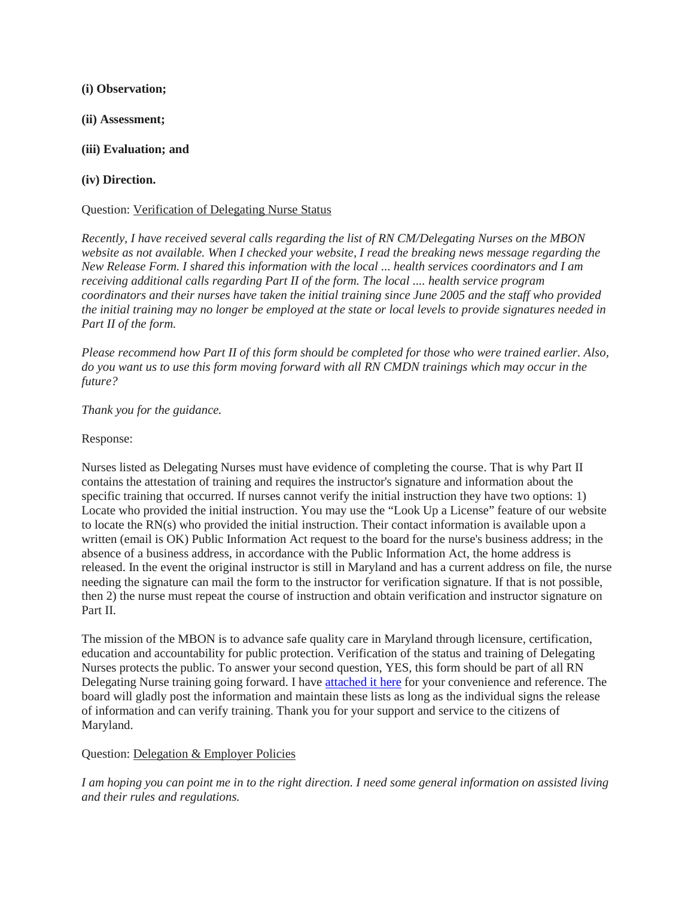### **(i) Observation;**

- **(ii) Assessment;**
- **(iii) Evaluation; and**

# **(iv) Direction.**

## Question: Verification of Delegating Nurse Status

*Recently, I have received several calls regarding the list of RN CM/Delegating Nurses on the MBON website as not available. When I checked your website, I read the breaking news message regarding the New Release Form. I shared this information with the local ... health services coordinators and I am receiving additional calls regarding Part II of the form. The local .... health service program coordinators and their nurses have taken the initial training since June 2005 and the staff who provided the initial training may no longer be employed at the state or local levels to provide signatures needed in Part II of the form.*

*Please recommend how Part II of this form should be completed for those who were trained earlier. Also, do you want us to use this form moving forward with all RN CMDN trainings which may occur in the future?*

*Thank you for the guidance.*

### Response:

Nurses listed as Delegating Nurses must have evidence of completing the course. That is why Part II contains the attestation of training and requires the instructor's signature and information about the specific training that occurred. If nurses cannot verify the initial instruction they have two options: 1) Locate who provided the initial instruction. You may use the "Look Up a License" feature of our website to locate the RN(s) who provided the initial instruction. Their contact information is available upon a written (email is OK) Public Information Act request to the board for the nurse's business address; in the absence of a business address, in accordance with the Public Information Act, the home address is released. In the event the original instructor is still in Maryland and has a current address on file, the nurse needing the signature can mail the form to the instructor for verification signature. If that is not possible, then 2) the nurse must repeat the course of instruction and obtain verification and instructor signature on Part II.

The mission of the MBON is to advance safe quality care in Maryland through licensure, certification, education and accountability for public protection. Verification of the status and training of Delegating Nurses protects the public. To answer your second question, YES, this form should be part of all RN Delegating Nurse training going forward. I have **attached it here** for your convenience and reference. The board will gladly post the information and maintain these lists as long as the individual signs the release of information and can verify training. Thank you for your support and service to the citizens of Maryland.

### Question: Delegation & Employer Policies

*I am hoping you can point me in to the right direction. I need some general information on assisted living and their rules and regulations.*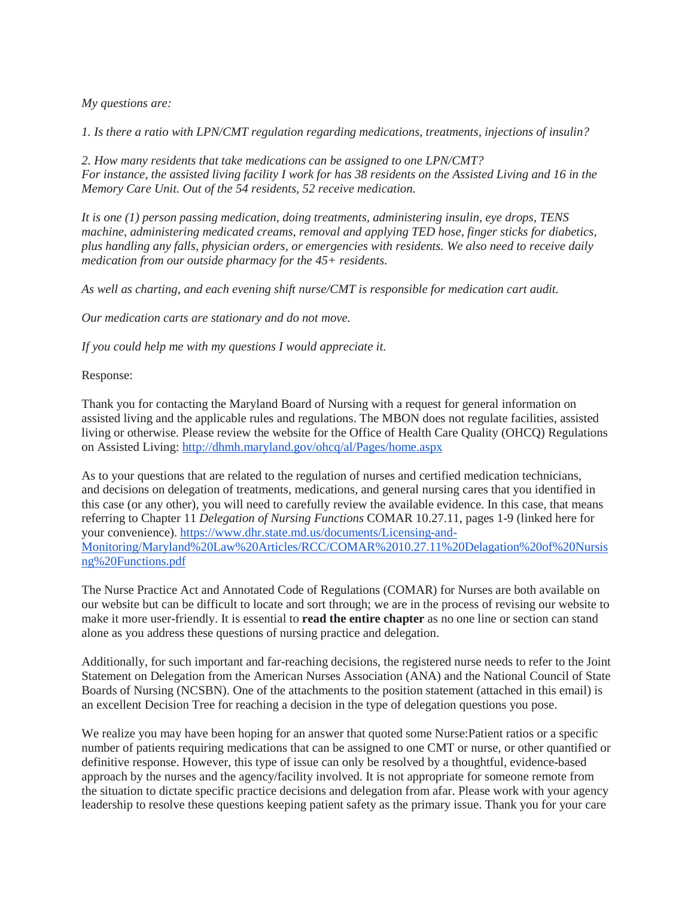*My questions are:*

*1. Is there a ratio with LPN/CMT regulation regarding medications, treatments, injections of insulin?*

*2. How many residents that take medications can be assigned to one LPN/CMT? For instance, the assisted living facility I work for has 38 residents on the Assisted Living and 16 in the Memory Care Unit. Out of the 54 residents, 52 receive medication.*

*It is one (1) person passing medication, doing treatments, administering insulin, eye drops, TENS machine, administering medicated creams, removal and applying TED hose, finger sticks for diabetics, plus handling any falls, physician orders, or emergencies with residents. We also need to receive daily medication from our outside pharmacy for the 45+ residents.*

*As well as charting, and each evening shift nurse/CMT is responsible for medication cart audit.*

*Our medication carts are stationary and do not move.*

*If you could help me with my questions I would appreciate it.*

Response:

Thank you for contacting the Maryland Board of Nursing with a request for general information on assisted living and the applicable rules and regulations. The MBON does not regulate facilities, assisted living or otherwise. Please review the website for the Office of Health Care Quality (OHCQ) Regulations on Assisted Living: <http://dhmh.maryland.gov/ohcq/al/Pages/home.aspx>

As to your questions that are related to the regulation of nurses and certified medication technicians, and decisions on delegation of treatments, medications, and general nursing cares that you identified in this case (or any other), you will need to carefully review the available evidence. In this case, that means referring to Chapter 11 *Delegation of Nursing Functions* COMAR 10.27.11, pages 1-9 (linked here for your convenience). [https://www.dhr.state.md.us/documents/Licensing-and-](https://www.dhr.state.md.us/documents/Licensing-and-Monitoring/Maryland%20Law%20Articles/RCC/COMAR%2010.27.11%20Delagation%20of%20Nursisng%20Functions.pdf)[Monitoring/Maryland%20Law%20Articles/RCC/COMAR%2010.27.11%20Delagation%20of%20Nursis](https://www.dhr.state.md.us/documents/Licensing-and-Monitoring/Maryland%20Law%20Articles/RCC/COMAR%2010.27.11%20Delagation%20of%20Nursisng%20Functions.pdf) [ng%20Functions.pdf](https://www.dhr.state.md.us/documents/Licensing-and-Monitoring/Maryland%20Law%20Articles/RCC/COMAR%2010.27.11%20Delagation%20of%20Nursisng%20Functions.pdf)

The Nurse Practice Act and Annotated Code of Regulations (COMAR) for Nurses are both available on our website but can be difficult to locate and sort through; we are in the process of revising our website to make it more user-friendly. It is essential to **read the entire chapter** as no one line or section can stand alone as you address these questions of nursing practice and delegation.

Additionally, for such important and far-reaching decisions, the registered nurse needs to refer to the Joint Statement on Delegation from the American Nurses Association (ANA) and the National Council of State Boards of Nursing (NCSBN). One of the attachments to the position statement (attached in this email) is an excellent Decision Tree for reaching a decision in the type of delegation questions you pose.

We realize you may have been hoping for an answer that quoted some Nurse:Patient ratios or a specific number of patients requiring medications that can be assigned to one CMT or nurse, or other quantified or definitive response. However, this type of issue can only be resolved by a thoughtful, evidence-based approach by the nurses and the agency/facility involved. It is not appropriate for someone remote from the situation to dictate specific practice decisions and delegation from afar. Please work with your agency leadership to resolve these questions keeping patient safety as the primary issue. Thank you for your care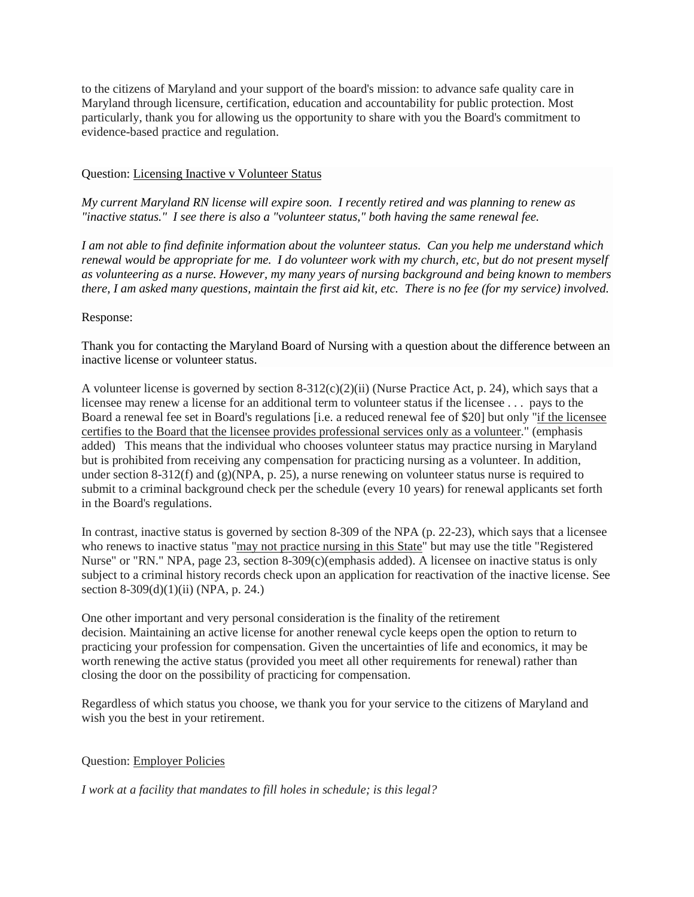to the citizens of Maryland and your support of the board's mission: to advance safe quality care in Maryland through licensure, certification, education and accountability for public protection. Most particularly, thank you for allowing us the opportunity to share with you the Board's commitment to evidence-based practice and regulation.

#### Question: Licensing Inactive v Volunteer Status

*My current Maryland RN license will expire soon. I recently retired and was planning to renew as "inactive status." I see there is also a "volunteer status," both having the same renewal fee.*

*I am not able to find definite information about the volunteer status. Can you help me understand which renewal would be appropriate for me. I do volunteer work with my church, etc, but do not present myself as volunteering as a nurse. However, my many years of nursing background and being known to members there, I am asked many questions, maintain the first aid kit, etc. There is no fee (for my service) involved.*

#### Response:

Thank you for contacting the Maryland Board of Nursing with a question about the difference between an inactive license or volunteer status.

A volunteer license is governed by section  $8-312(c)(2)(ii)$  (Nurse Practice Act, p. 24), which says that a licensee may renew a license for an additional term to volunteer status if the licensee . . . pays to the Board a renewal fee set in Board's regulations [i.e. a reduced renewal fee of \$20] but only "if the licensee certifies to the Board that the licensee provides professional services only as a volunteer." (emphasis added) This means that the individual who chooses volunteer status may practice nursing in Maryland but is prohibited from receiving any compensation for practicing nursing as a volunteer. In addition, under section 8-312(f) and (g)(NPA, p. 25), a nurse renewing on volunteer status nurse is required to submit to a criminal background check per the schedule (every 10 years) for renewal applicants set forth in the Board's regulations.

In contrast, inactive status is governed by section 8-309 of the NPA (p. 22-23), which says that a licensee who renews to inactive status "may not practice nursing in this State" but may use the title "Registered Nurse" or "RN." NPA, page 23, section 8-309(c)(emphasis added). A licensee on inactive status is only subject to a criminal history records check upon an application for reactivation of the inactive license. See section 8-309(d)(1)(ii) (NPA, p. 24.)

One other important and very personal consideration is the finality of the retirement decision. Maintaining an active license for another renewal cycle keeps open the option to return to practicing your profession for compensation. Given the uncertainties of life and economics, it may be worth renewing the active status (provided you meet all other requirements for renewal) rather than closing the door on the possibility of practicing for compensation.

Regardless of which status you choose, we thank you for your service to the citizens of Maryland and wish you the best in your retirement.

#### Question: Employer Policies

#### *I work at a facility that mandates to fill holes in schedule; is this legal?*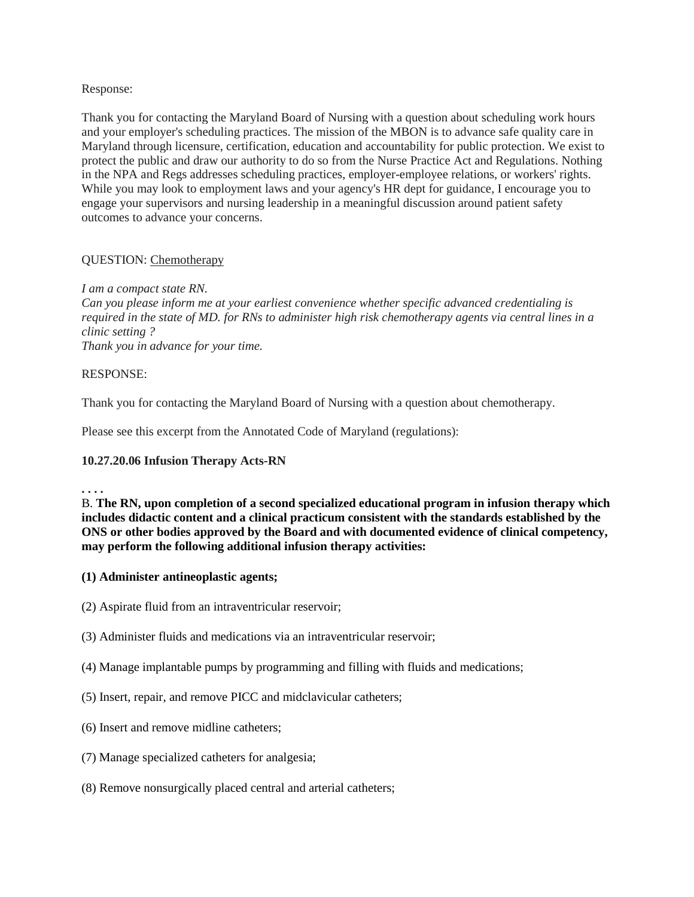### Response:

Thank you for contacting the Maryland Board of Nursing with a question about scheduling work hours and your employer's scheduling practices. The mission of the MBON is to advance safe quality care in Maryland through licensure, certification, education and accountability for public protection. We exist to protect the public and draw our authority to do so from the Nurse Practice Act and Regulations. Nothing in the NPA and Regs addresses scheduling practices, employer-employee relations, or workers' rights. While you may look to employment laws and your agency's HR dept for guidance, I encourage you to engage your supervisors and nursing leadership in a meaningful discussion around patient safety outcomes to advance your concerns.

### QUESTION: Chemotherapy

### *I am a compact state RN.*

*Can you please inform me at your earliest convenience whether specific advanced credentialing is required in the state of MD. for RNs to administer high risk chemotherapy agents via central lines in a clinic setting ?*

*Thank you in advance for your time.*

### RESPONSE:

Thank you for contacting the Maryland Board of Nursing with a question about chemotherapy.

Please see this excerpt from the Annotated Code of Maryland (regulations):

# **10.27.20.06 Infusion Therapy Acts-RN**

**. . . .**

B. **The RN, upon completion of a second specialized educational program in infusion therapy which includes didactic content and a clinical practicum consistent with the standards established by the ONS or other bodies approved by the Board and with documented evidence of clinical competency, may perform the following additional infusion therapy activities:**

- **(1) Administer antineoplastic agents;**
- (2) Aspirate fluid from an intraventricular reservoir;
- (3) Administer fluids and medications via an intraventricular reservoir;
- (4) Manage implantable pumps by programming and filling with fluids and medications;
- (5) Insert, repair, and remove PICC and midclavicular catheters;
- (6) Insert and remove midline catheters;
- (7) Manage specialized catheters for analgesia;
- (8) Remove nonsurgically placed central and arterial catheters;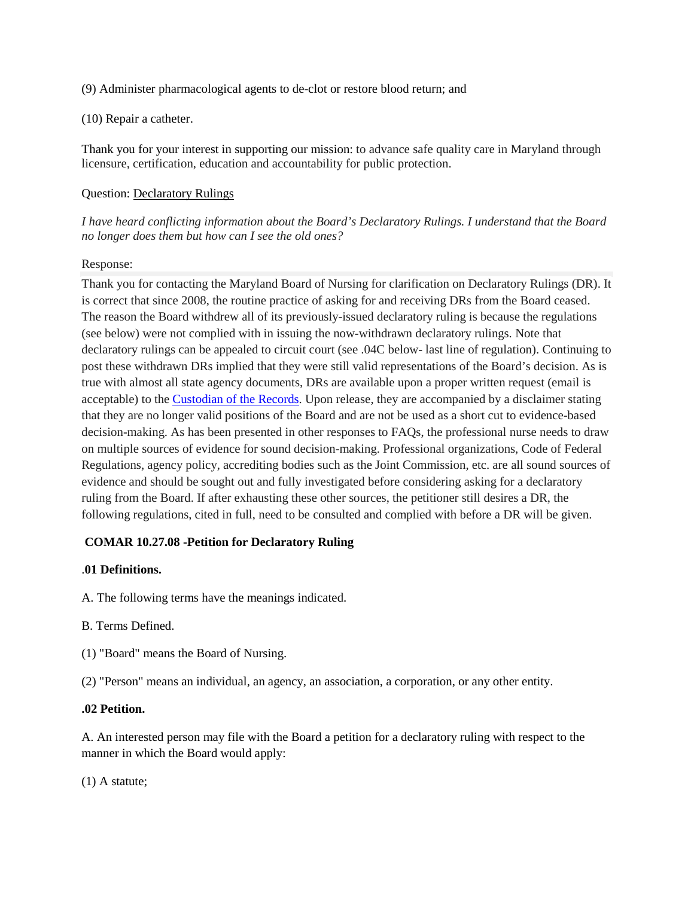(9) Administer pharmacological agents to de-clot or restore blood return; and

#### (10) Repair a catheter.

Thank you for your interest in supporting our mission: to advance safe quality care in Maryland through licensure, certification, education and accountability for public protection.

### Question: Declaratory Rulings

*I have heard conflicting information about the Board's Declaratory Rulings. I understand that the Board no longer does them but how can I see the old ones?*

#### Response:

Thank you for contacting the Maryland Board of Nursing for clarification on Declaratory Rulings (DR). It is correct that since 2008, the routine practice of asking for and receiving DRs from the Board ceased. The reason the Board withdrew all of its previously-issued declaratory ruling is because the regulations (see below) were not complied with in issuing the now-withdrawn declaratory rulings. Note that declaratory rulings can be appealed to circuit court (see .04C below- last line of regulation). Continuing to post these withdrawn DRs implied that they were still valid representations of the Board's decision. As is true with almost all state agency documents, DRs are available upon a proper written request (email is acceptable) to the [Custodian of the Records.](http://mbon.maryland.gov/Pages/pia-requests.aspx) Upon release, they are accompanied by a disclaimer stating that they are no longer valid positions of the Board and are not be used as a short cut to evidence-based decision-making. As has been presented in other responses to FAQs, the professional nurse needs to draw on multiple sources of evidence for sound decision-making. Professional organizations, Code of Federal Regulations, agency policy, accrediting bodies such as the Joint Commission, etc. are all sound sources of evidence and should be sought out and fully investigated before considering asking for a declaratory ruling from the Board. If after exhausting these other sources, the petitioner still desires a DR, the following regulations, cited in full, need to be consulted and complied with before a DR will be given.

## **COMAR 10.27.08 -Petition for Declaratory Ruling**

### .**01 Definitions.**

A. The following terms have the meanings indicated.

- B. Terms Defined.
- (1) "Board" means the Board of Nursing.
- (2) "Person" means an individual, an agency, an association, a corporation, or any other entity.

#### **.02 Petition.**

A. An interested person may file with the Board a petition for a declaratory ruling with respect to the manner in which the Board would apply:

(1) A statute;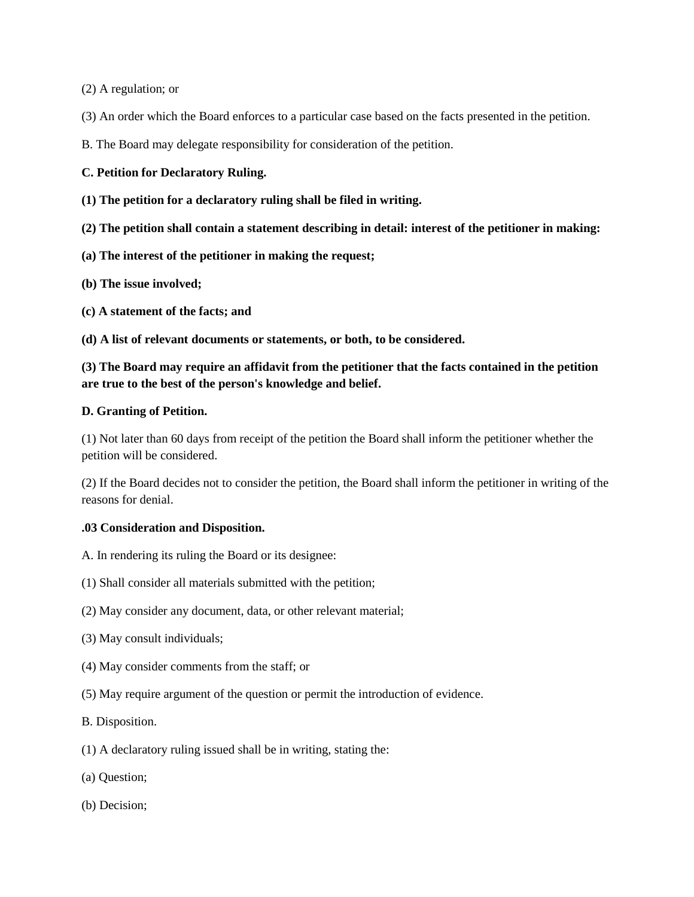(2) A regulation; or

(3) An order which the Board enforces to a particular case based on the facts presented in the petition.

B. The Board may delegate responsibility for consideration of the petition.

# **C. Petition for Declaratory Ruling.**

**(1) The petition for a declaratory ruling shall be filed in writing.**

**(2) The petition shall contain a statement describing in detail: interest of the petitioner in making:**

**(a) The interest of the petitioner in making the request;**

**(b) The issue involved;**

**(c) A statement of the facts; and**

**(d) A list of relevant documents or statements, or both, to be considered.**

# **(3) The Board may require an affidavit from the petitioner that the facts contained in the petition are true to the best of the person's knowledge and belief.**

# **D. Granting of Petition.**

(1) Not later than 60 days from receipt of the petition the Board shall inform the petitioner whether the petition will be considered.

(2) If the Board decides not to consider the petition, the Board shall inform the petitioner in writing of the reasons for denial.

### **.03 Consideration and Disposition.**

- A. In rendering its ruling the Board or its designee:
- (1) Shall consider all materials submitted with the petition;
- (2) May consider any document, data, or other relevant material;
- (3) May consult individuals;
- (4) May consider comments from the staff; or
- (5) May require argument of the question or permit the introduction of evidence.
- B. Disposition.
- (1) A declaratory ruling issued shall be in writing, stating the:
- (a) Question;
- (b) Decision;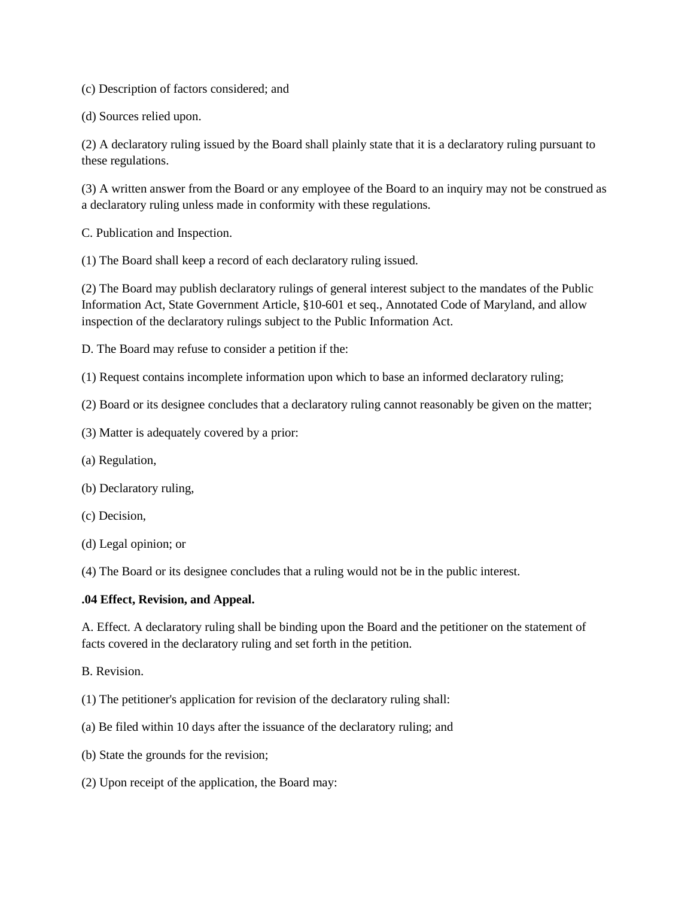(c) Description of factors considered; and

(d) Sources relied upon.

(2) A declaratory ruling issued by the Board shall plainly state that it is a declaratory ruling pursuant to these regulations.

(3) A written answer from the Board or any employee of the Board to an inquiry may not be construed as a declaratory ruling unless made in conformity with these regulations.

C. Publication and Inspection.

(1) The Board shall keep a record of each declaratory ruling issued.

(2) The Board may publish declaratory rulings of general interest subject to the mandates of the Public Information Act, State Government Article, §10-601 et seq., Annotated Code of Maryland, and allow inspection of the declaratory rulings subject to the Public Information Act.

D. The Board may refuse to consider a petition if the:

(1) Request contains incomplete information upon which to base an informed declaratory ruling;

(2) Board or its designee concludes that a declaratory ruling cannot reasonably be given on the matter;

(3) Matter is adequately covered by a prior:

- (a) Regulation,
- (b) Declaratory ruling,
- (c) Decision,
- (d) Legal opinion; or

(4) The Board or its designee concludes that a ruling would not be in the public interest.

### **.04 Effect, Revision, and Appeal.**

A. Effect. A declaratory ruling shall be binding upon the Board and the petitioner on the statement of facts covered in the declaratory ruling and set forth in the petition.

B. Revision.

- (1) The petitioner's application for revision of the declaratory ruling shall:
- (a) Be filed within 10 days after the issuance of the declaratory ruling; and
- (b) State the grounds for the revision;
- (2) Upon receipt of the application, the Board may: